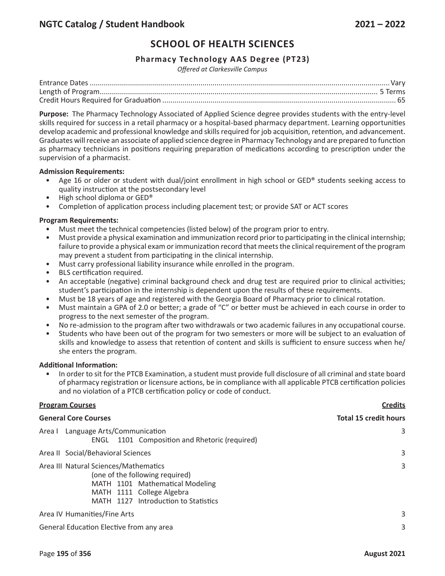# **SCHOOL OF HEALTH SCIENCES**

## **Pharmacy Technology AAS Degree (PT23)**

*Offered at Clarkesville Campus*

**Purpose:** The Pharmacy Technology Associated of Applied Science degree provides students with the entry-level skills required for success in a retail pharmacy or a hospital-based pharmacy department. Learning opportunities develop academic and professional knowledge and skills required for job acquisition, retention, and advancement. Graduates will receive an associate of applied science degree in Pharmacy Technology and are prepared to function as pharmacy technicians in positions requiring preparation of medications according to prescription under the supervision of a pharmacist.

#### **Admission Requirements:**

- Age 16 or older or student with dual/joint enrollment in high school or GED® students seeking access to quality instruction at the postsecondary level
- High school diploma or GED®
- Completion of application process including placement test; or provide SAT or ACT scores

#### **Program Requirements:**

- Must meet the technical competencies (listed below) of the program prior to entry.
- Must provide a physical examination and immunization record prior to participating in the clinical internship; failure to provide a physical exam or immunization record that meets the clinical requirement of the program may prevent a student from participating in the clinical internship.
- Must carry professional liability insurance while enrolled in the program.
- BLS certification required.
- An acceptable (negative) criminal background check and drug test are required prior to clinical activities; student's participation in the internship is dependent upon the results of these requirements.
- Must be 18 years of age and registered with the Georgia Board of Pharmacy prior to clinical rotation.
- Must maintain a GPA of 2.0 or better; a grade of "C" or better must be achieved in each course in order to progress to the next semester of the program.
- No re-admission to the program after two withdrawals or two academic failures in any occupational course.
- Students who have been out of the program for two semesters or more will be subject to an evaluation of skills and knowledge to assess that retention of content and skills is sufficient to ensure success when he/ she enters the program.

#### **Additional Information:**

• In order to sit for the PTCB Examination, a student must provide full disclosure of all criminal and state board of pharmacy registration or licensure actions, be in compliance with all applicable PTCB certification policies and no violation of a PTCB certification policy or code of conduct.

#### **Program Courses Credits**

| <b>General Core Courses</b>                                                                                                                                                      | <b>Total 15 credit hours</b> |
|----------------------------------------------------------------------------------------------------------------------------------------------------------------------------------|------------------------------|
| Area I Language Arts/Communication<br>ENGL 1101 Composition and Rhetoric (required)                                                                                              | 3                            |
| Area II Social/Behavioral Sciences                                                                                                                                               | 3                            |
| Area III Natural Sciences/Mathematics<br>(one of the following required)<br>MATH 1101 Mathematical Modeling<br>MATH 1111 College Algebra<br>MATH 1127 Introduction to Statistics | 3                            |
| Area IV Humanities/Fine Arts                                                                                                                                                     | 3                            |
| General Education Elective from any area                                                                                                                                         |                              |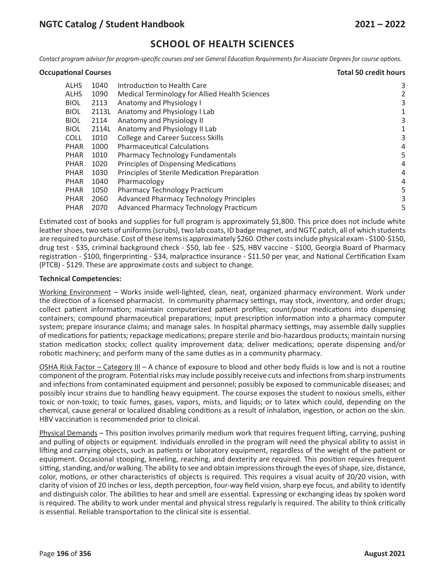**Occupational Courses Total 50 credit hours**

# **SCHOOL OF HEALTH SCIENCES**

Contact program advisor for program-specific courses and see General Education Requirements for Associate Degrees for course options.

| <b>Occupational Courses</b> |  |
|-----------------------------|--|
|-----------------------------|--|

| ALHS        | 1040  | Introduction to Health Care                    | 3 |
|-------------|-------|------------------------------------------------|---|
| <b>ALHS</b> | 1090  | Medical Terminology for Allied Health Sciences |   |
| <b>BIOL</b> | 2113  | Anatomy and Physiology I                       | 3 |
| <b>BIOL</b> | 2113L | Anatomy and Physiology I Lab                   | 1 |
| <b>BIOL</b> | 2114  | Anatomy and Physiology II                      | 3 |
| <b>BIOL</b> | 2114L | Anatomy and Physiology II Lab                  | 1 |
| <b>COLL</b> | 1010  | <b>College and Career Success Skills</b>       | 3 |
| <b>PHAR</b> | 1000  | <b>Pharmaceutical Calculations</b>             | 4 |
| <b>PHAR</b> | 1010  | Pharmacy Technology Fundamentals               | 5 |
| <b>PHAR</b> | 1020  | <b>Principles of Dispensing Medications</b>    | 4 |
| <b>PHAR</b> | 1030  | Principles of Sterile Medication Preparation   | 4 |
| <b>PHAR</b> | 1040  | Pharmacology                                   | 4 |
| <b>PHAR</b> | 1050  | <b>Pharmacy Technology Practicum</b>           | 5 |
| <b>PHAR</b> | 2060  | Advanced Pharmacy Technology Principles        | 3 |
| <b>PHAR</b> | 2070  | Advanced Pharmacy Technology Practicum         | 5 |

Estimated cost of books and supplies for full program is approximately \$1,800. This price does not include white leather shoes, two sets of uniforms (scrubs), two lab coats, ID badge magnet, and NGTC patch, all of which students are required to purchase. Cost of these items is approximately \$260. Other costs include physical exam - \$100-\$150, drug test - \$35, criminal background check - \$50, lab fee - \$25, HBV vaccine - \$100, Georgia Board of Pharmacy registration - \$100, fingerprinting - \$34, malpractice insurance - \$11.50 per year, and National Certification Exam (PTCB) - \$129. These are approximate costs and subject to change.

#### **Technical Competencies:**

Working Environment – Works inside well-lighted, clean, neat, organized pharmacy environment. Work under the direction of a licensed pharmacist. In community pharmacy settings, may stock, inventory, and order drugs; collect patient information; maintain computerized patient profiles; count/pour medications into dispensing containers; compound pharmaceutical preparations; input prescription information into a pharmacy computer system; prepare insurance claims; and manage sales. In hospital pharmacy settings, may assemble daily supplies of medications for patients; repackage medications; prepare sterile and bio-hazardous products; maintain nursing station medication stocks; collect quality improvement data; deliver medications; operate dispensing and/or robotic machinery; and perform many of the same duties as in a community pharmacy.

OSHA Risk Factor – Category III – A chance of exposure to blood and other body fluids is low and is not a routine component of the program. Potential risks may include possibly receive cuts and infections from sharp instruments and infections from contaminated equipment and personnel; possibly be exposed to communicable diseases; and possibly incur strains due to handling heavy equipment. The course exposes the student to noxious smells, either toxic or non-toxic; to toxic fumes, gases, vapors, mists, and liquids; or to latex which could, depending on the chemical, cause general or localized disabling conditions as a result of inhalation, ingestion, or action on the skin. HBV vaccination is recommended prior to clinical.

Physical Demands – This position involves primarily medium work that requires frequent lifting, carrying, pushing and pulling of objects or equipment. Individuals enrolled in the program will need the physical ability to assist in lifting and carrying objects, such as patients or laboratory equipment, regardless of the weight of the patient or equipment. Occasional stooping, kneeling, reaching, and dexterity are required. This position requires frequent sitting, standing, and/or walking. The ability to see and obtain impressions through the eyes of shape, size, distance, color, motions, or other characteristics of objects is required. This requires a visual acuity of 20/20 vision, with clarity of vision of 20 inches or less, depth perception, four-way field vision, sharp eye focus, and ability to identify and distinguish color. The abilities to hear and smell are essential. Expressing or exchanging ideas by spoken word is required. The ability to work under mental and physical stress regularly is required. The ability to think critically is essential. Reliable transportation to the clinical site is essential.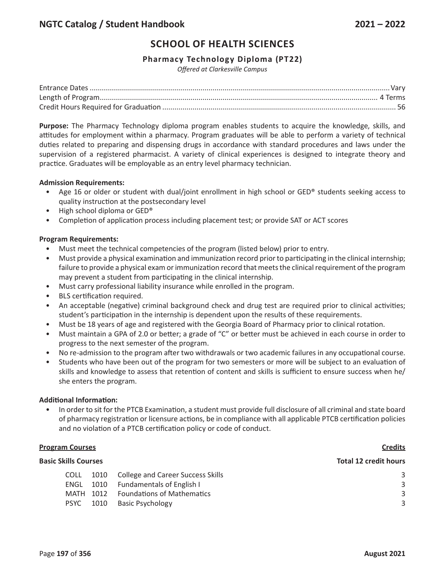# **SCHOOL OF HEALTH SCIENCES**

## **Pharmacy Technology Diploma (PT22)**

*Offered at Clarkesville Campus*

**Purpose:** The Pharmacy Technology diploma program enables students to acquire the knowledge, skills, and attitudes for employment within a pharmacy. Program graduates will be able to perform a variety of technical duties related to preparing and dispensing drugs in accordance with standard procedures and laws under the supervision of a registered pharmacist. A variety of clinical experiences is designed to integrate theory and practice. Graduates will be employable as an entry level pharmacy technician.

#### **Admission Requirements:**

- Age 16 or older or student with dual/joint enrollment in high school or GED® students seeking access to quality instruction at the postsecondary level
- High school diploma or GED®
- Completion of application process including placement test; or provide SAT or ACT scores

#### **Program Requirements:**

- Must meet the technical competencies of the program (listed below) prior to entry.
- Must provide a physical examination and immunization record prior to participating in the clinical internship; failure to provide a physical exam or immunization record that meets the clinical requirement of the program may prevent a student from participating in the clinical internship.
- Must carry professional liability insurance while enrolled in the program.
- BLS certification required.
- An acceptable (negative) criminal background check and drug test are required prior to clinical activities; student's participation in the internship is dependent upon the results of these requirements.
- Must be 18 years of age and registered with the Georgia Board of Pharmacy prior to clinical rotation.
- Must maintain a GPA of 2.0 or better; a grade of "C" or better must be achieved in each course in order to progress to the next semester of the program.
- No re-admission to the program after two withdrawals or two academic failures in any occupational course.
- Students who have been out of the program for two semesters or more will be subject to an evaluation of skills and knowledge to assess that retention of content and skills is sufficient to ensure success when he/ she enters the program.

#### **Additional Information:**

• In order to sit for the PTCB Examination, a student must provide full disclosure of all criminal and state board of pharmacy registration or licensure actions, be in compliance with all applicable PTCB certification policies and no violation of a PTCB certification policy or code of conduct.

#### **Program Courses Credits**

| <b>Basic Skills Courses</b> |  |           | <b>Total 12 credit hours</b>                                                                                                           |  |
|-----------------------------|--|-----------|----------------------------------------------------------------------------------------------------------------------------------------|--|
| <b>COLL</b>                 |  |           | 3                                                                                                                                      |  |
| ENGL                        |  |           | 3                                                                                                                                      |  |
|                             |  |           | 3                                                                                                                                      |  |
| <b>PSYC</b>                 |  |           | 3                                                                                                                                      |  |
|                             |  | MATH 1012 | 1010 College and Career Success Skills<br>1010 Fundamentals of English I<br><b>Eoundations of Mathematics</b><br>1010 Basic Psychology |  |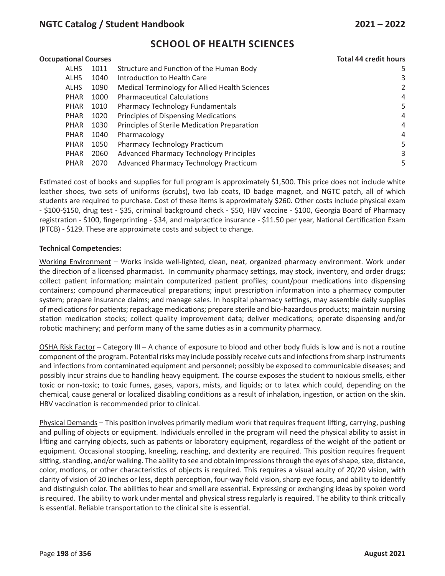## **NGTC Catalog / Student Handbook 2021 – 2022**

## **SCHOOL OF HEALTH SCIENCES**

| <b>Occupational Courses</b> |      |                                                | <b>Total 44 credit hours</b> |  |
|-----------------------------|------|------------------------------------------------|------------------------------|--|
| ALHS                        | 1011 | Structure and Function of the Human Body       | 5                            |  |
| <b>ALHS</b>                 | 1040 | Introduction to Health Care                    | 3                            |  |
| <b>ALHS</b>                 | 1090 | Medical Terminology for Allied Health Sciences | 2                            |  |
| <b>PHAR</b>                 | 1000 | <b>Pharmaceutical Calculations</b>             | 4                            |  |
| PHAR                        | 1010 | Pharmacy Technology Fundamentals               | 5                            |  |
| <b>PHAR</b>                 | 1020 | Principles of Dispensing Medications           | 4                            |  |
| <b>PHAR</b>                 | 1030 | Principles of Sterile Medication Preparation   | 4                            |  |
| PHAR                        | 1040 | Pharmacology                                   | 4                            |  |
| <b>PHAR</b>                 | 1050 | Pharmacy Technology Practicum                  | 5                            |  |
| <b>PHAR</b>                 | 2060 | <b>Advanced Pharmacy Technology Principles</b> | 3                            |  |
| <b>PHAR</b>                 | 2070 | Advanced Pharmacy Technology Practicum         | 5                            |  |

Estimated cost of books and supplies for full program is approximately \$1,500. This price does not include white leather shoes, two sets of uniforms (scrubs), two lab coats, ID badge magnet, and NGTC patch, all of which students are required to purchase. Cost of these items is approximately \$260. Other costs include physical exam - \$100-\$150, drug test - \$35, criminal background check - \$50, HBV vaccine - \$100, Georgia Board of Pharmacy registration - \$100, fingerprinting - \$34, and malpractice insurance - \$11.50 per year, National Certification Exam (PTCB) - \$129. These are approximate costs and subject to change.

#### **Technical Competencies:**

Working Environment – Works inside well-lighted, clean, neat, organized pharmacy environment. Work under the direction of a licensed pharmacist. In community pharmacy settings, may stock, inventory, and order drugs; collect patient information; maintain computerized patient profiles; count/pour medications into dispensing containers; compound pharmaceutical preparations; input prescription information into a pharmacy computer system; prepare insurance claims; and manage sales. In hospital pharmacy settings, may assemble daily supplies of medications for patients; repackage medications; prepare sterile and bio-hazardous products; maintain nursing station medication stocks; collect quality improvement data; deliver medications; operate dispensing and/or robotic machinery; and perform many of the same duties as in a community pharmacy.

OSHA Risk Factor – Category III – A chance of exposure to blood and other body fluids is low and is not a routine component of the program. Potential risks may include possibly receive cuts and infections from sharp instruments and infections from contaminated equipment and personnel; possibly be exposed to communicable diseases; and possibly incur strains due to handling heavy equipment. The course exposes the student to noxious smells, either toxic or non-toxic; to toxic fumes, gases, vapors, mists, and liquids; or to latex which could, depending on the chemical, cause general or localized disabling conditions as a result of inhalation, ingestion, or action on the skin. HBV vaccination is recommended prior to clinical.

Physical Demands – This position involves primarily medium work that requires frequent lifting, carrying, pushing and pulling of objects or equipment. Individuals enrolled in the program will need the physical ability to assist in lifting and carrying objects, such as patients or laboratory equipment, regardless of the weight of the patient or equipment. Occasional stooping, kneeling, reaching, and dexterity are required. This position requires frequent sitting, standing, and/or walking. The ability to see and obtain impressions through the eyes of shape, size, distance, color, motions, or other characteristics of objects is required. This requires a visual acuity of 20/20 vision, with clarity of vision of 20 inches or less, depth perception, four-way field vision, sharp eye focus, and ability to identify and distinguish color. The abilities to hear and smell are essential. Expressing or exchanging ideas by spoken word is required. The ability to work under mental and physical stress regularly is required. The ability to think critically is essential. Reliable transportation to the clinical site is essential.